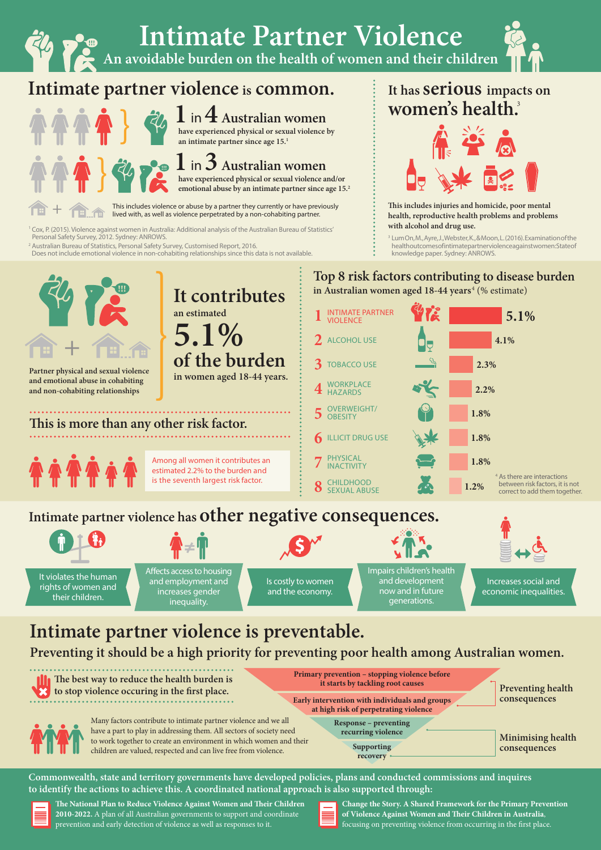

**The National Plan to Reduce Violence Against Women and Their Children 2010-2022.** A plan of all Australian governments to support and coordinate prevention and early detection of violence as well as responses to it.

**Change the Story. A Shared Framework for the Primary Prevention of Violence Against Women and Their Children in Australia**, focusing on preventing violence from occurring in the first place.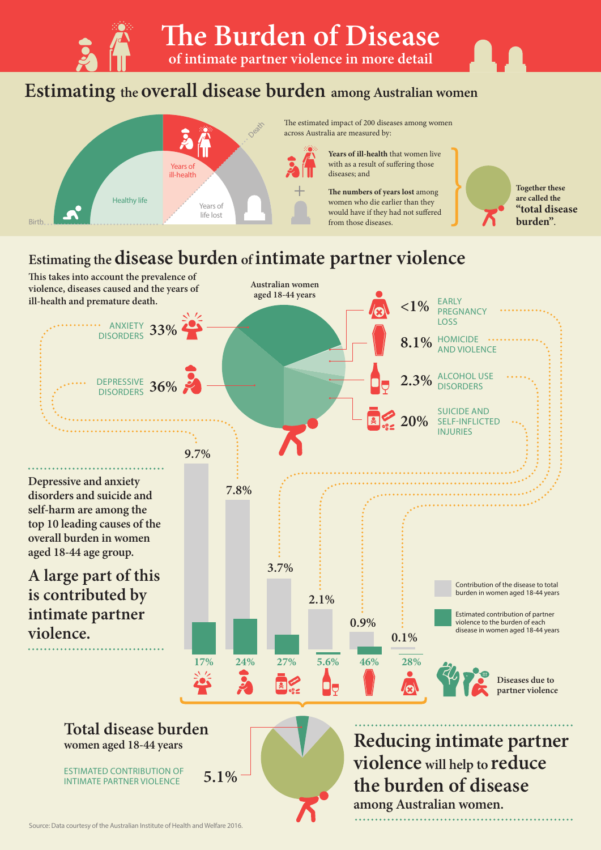**The Burden of Disease** 

**of intimate partner violence in more detail** 

## **Estimating the overall disease burden among Australian women**



The estimated impact of 200 diseases among women across Australia are measured by:

> **Years of ill-health** that women live with as a result of suffering those diseases; and

**The numbers of years lost** among women who die earlier than they would have if they had not suffered from those diseases.

**Together these are called the "total disease burden".**

### **Estimating the disease burden of intimate partner violence**